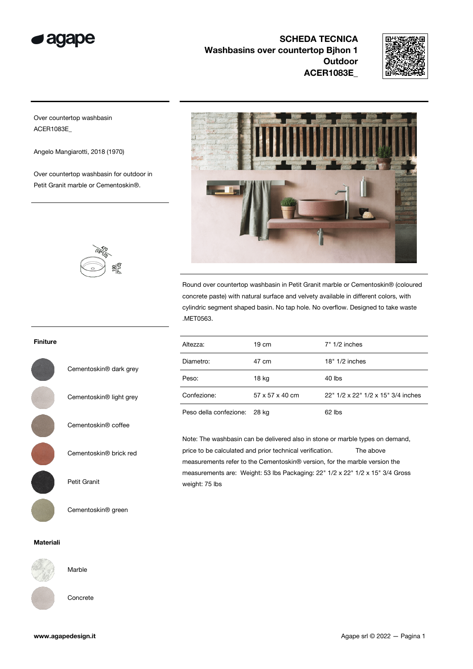

SCHEDA TECNICA Washbasins over countertop Bihon 1 **Outdoor** ACER1083E\_



Over countertop washbasin ACER1083E\_

Angelo Mangiarotti, 2018 (1970)

Over countertop washbasin for outdoor in Petit Granit marble or Cementoskin®.



Round over countertop washbasin in Petit Granit marble or Cementoskin® (coloured concrete paste) with natural surface and velvety available in different colors, with cylindric segment shaped basin. No tap hole. No overflow. Designed to take waste .MET0563.

| Altezza:                     | 19 cm           | $7" 1/2$ inches                    |
|------------------------------|-----------------|------------------------------------|
| Diametro:                    | 47 cm           | 18" 1/2 inches                     |
| Peso:                        | 18 kg           | 40 lbs                             |
| Confezione:                  | 57 x 57 x 40 cm | 22" 1/2 x 22" 1/2 x 15" 3/4 inches |
| Peso della confezione: 28 kg |                 | 62 lbs                             |

Note: The washbasin can be delivered also in stone or marble types on demand, price to be calculated and prior technical verification. The above measurements refer to the Cementoskin® version, for the marble version the measurements are: Weight: 53 lbs Packaging: 22" 1/2 x 22" 1/2 x 15" 3/4 Gross weight: 75 lbs

## Finiture

Cementoskin® dark grey

Cementoskin® light grey

Cementoskin® coffee

Cementoskin® brick red

Petit Granit

Cementoskin® green

## Materiali



Marble

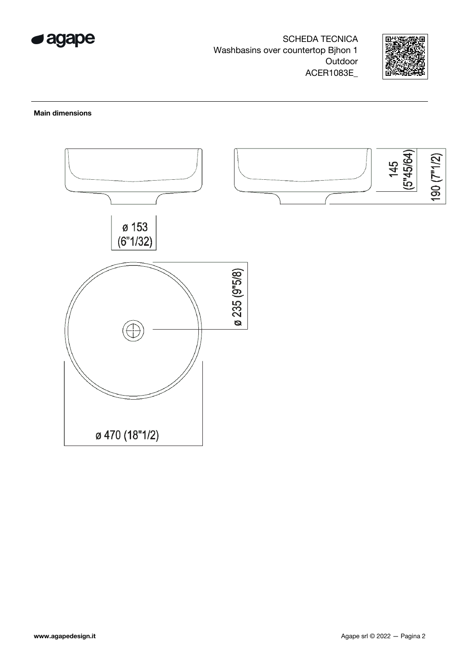

**SCHEDA TECNICA** Washbasins over countertop Bjhon 1 Outdoor ACER1083E\_



## **Main dimensions**

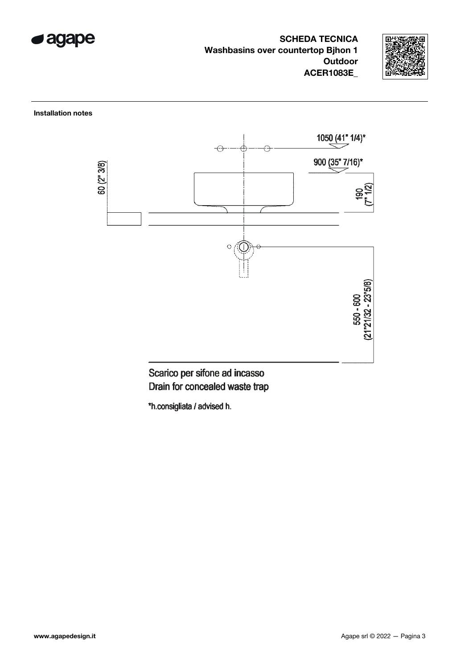

**SCHEDA TECNICA Washbasins over countertop Bihon 1 Outdoor ACER1083E** 



**Installation notes** 



Scarico per sifone ad incasso Drain for concealed waste trap

\*h.consigliata / advised h.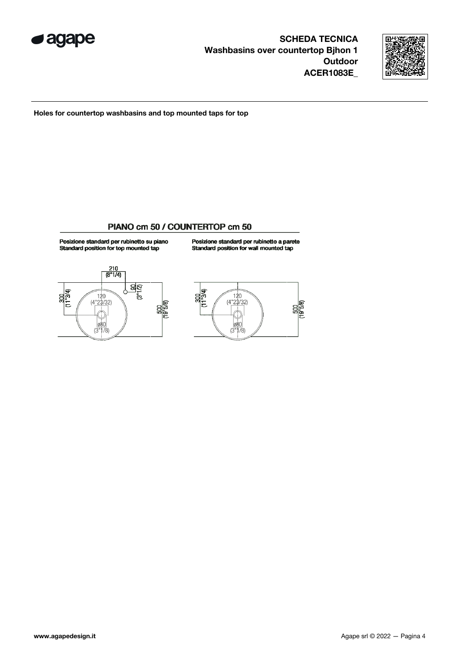



Holes for countertop washbasins and top mounted taps for top

## PIANO cm 50 / COUNTERTOP cm 50

Posizione standard per rubinetto su piano<br>Standard position for top mounted tap

Posizione standard per rubinetto a parete<br>Standard position for wall mounted tap